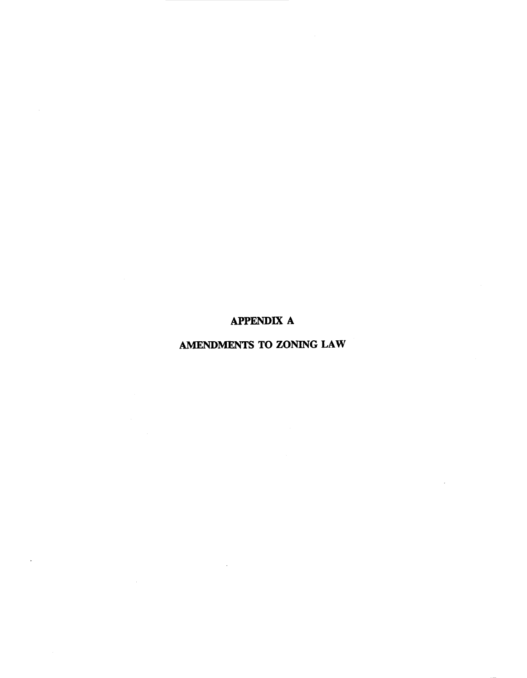# APPENDIX A

# AMENDMENTS TO ZONING LAW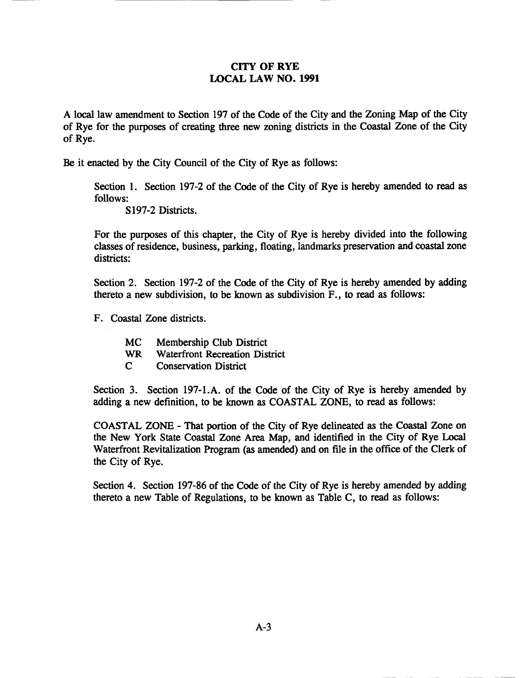# CITY OF RYE LOCAL LAW NO. 1991

A local law amendment to Section 197 of the Code of the City and the Zoning Map of the City of Rye for the purposes of creating three new zoning districts in the Coastal Zone of the City of Rye.

Be it enacted by the City Council of the City of Rye as follows:

Section 1. Section 197-2 of the Code of the City of Rye is hereby amended to read as follows:

S197-2 Districts.

For the purposes of this chapter, the City of Rye is hereby divided into the following classes ofresidence, business, parking, floating, landmarks preservation and coastal zone districts:

Section 2. Section 197-2 of the Code of the City of Rye is hereby amended by adding thereto a new subdivision, to be known as subdivision F., to read as follows:

F. Coastal Zone districts.

- MC Membership Club District
- WR Waterfront Recreation District
- C Conservation District

Section 3. Section 197-1.A. of the Code of the City of Rye is hereby amended by adding a new definition, to be known as COASTAL ZONE, to read as follows:

COASTAL ZONE - That portion of the City of Rye delineated as the Coastal Zone on the New York State Coastal Zone Area Map, and identified in the City of Rye Local Waterfront Revitalization Program (as amended) and on file in the office of the Clerk of the City of Rye.

Section 4. Section 197-86 of the Code of the City of Rye is hereby amended by adding thereto a new Table of Regulations, to be known as Table C, to read as follows: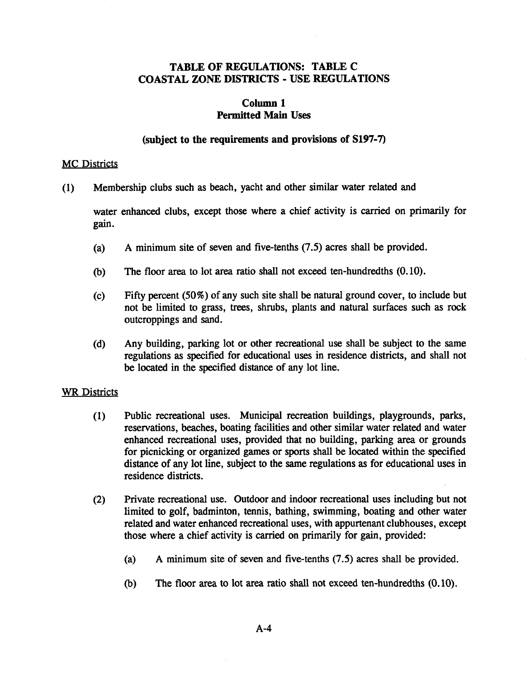# TABLE OF REGULATIONS: TABLE C COASTAL ZONE DISTRICTS - USE REGULATIONS

# Column 1 Permitted Main Uses

### (subject to the requirements and provisions of S197-7)

### **MC** Districts

(1) Membership clubs such as beach, yacht and other similar water related and

water enhanced clubs, except those where a chief activity is carried on primarily for gain.

- (a) A minimum site of seven and five-tenths (7.5) acres shall be provided.
- (b) The floor area to lot area ratio shall not exceed ten-hundredths (0.10).
- (c) Fifty percent (50%) of any such site shall be natural ground cover, to include but not be limited to grass, trees, shrubs, plants and natural surfaces such as rock outcroppings and sand.
- (d) Any building, parking lot or other recreational use shall be subject to the same regulations as specified for educational uses in residence districts, and shall not be located in the specified distance of any lot line.

### WR Districts

- (1) Public recreational uses. Municipal recreation buildings, playgrounds, parks, reservations, beaches, boating facilities and other similar water related and water enhanced recreational uses, provided that no building, parking area or grounds for picnicking or organized games or sports shall be located within the specified distance of any lot line, subject to the same regulations as for educational uses in residence districts.
- (2) Private recreational use. Outdoor and indoor recreational uses including but not limited to golf, badminton, tennis, bathing, swimming, boating and other water related and water enhanced recreational uses, with appurtenant clubhouses, except those where a chief activity is carried on primarily for gain, provided:
	- (a) A minimum site of seven and five-tenths (7.5) acres shall be provided.
	- (b) The floor area to lot area ratio shall not exceed ten-hundredths (0.10).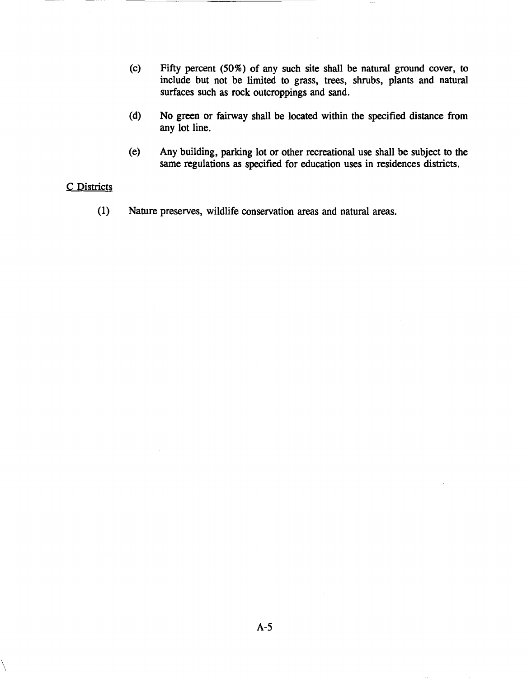- (c) Fifty percent (50%) of any such site shall be natural ground cover, to include but not be limited to grass, trees, shrubs, plants and natural surfaces such as rock outcroppings and sand.
- (d) No green or fairway shall be located within the specified distance from any lot line.
- (e) Any building, parking lot or other recreational use shall be subject to the same regulations as specified for education uses in residences districts.

#### C Districts

 $\setminus$ 

(1) Nature preserves, wildlife conservation areas and natural areas.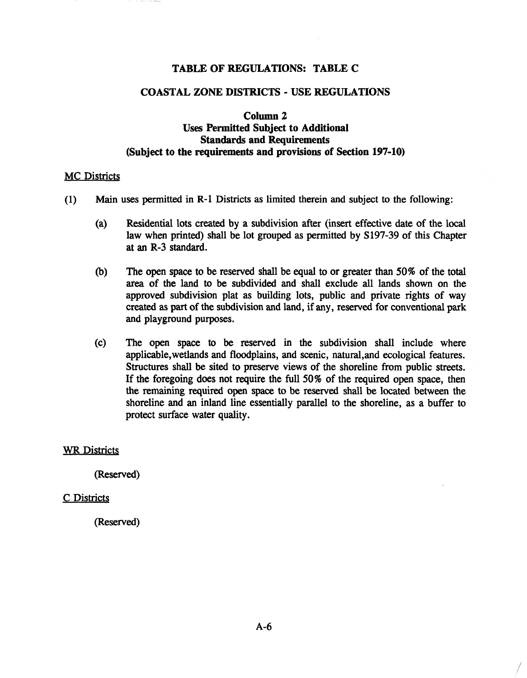### TABLE OF REGULATIONS: TABLE C

#### COASTAL ZONE DISTRICTS - USE REGULATIONS

# Column 2 Uses Permitted Subject to Additional Standards and Requirements (Subject to the requirements and provisions of Section 197-10)

#### MC Districts

- (1) Main uses permitted in R-l Districts as limited therein and subject to the following:
	- (a) Residential lots created by a subdivision after (insert effective date of the local law when printed) shall be lot grouped as permitted by S197-39 of this Chapter at an R-3 standard.
	- (b) The open space to be reserved shall be equal to or greater than 50% of the total area of the land to be subdivided and shall exclude all lands shown on the approved subdivision plat as building lots, public and private rights of way created as part of the subdivision and land, if any, reserved for conventional park and playground purposes.
	- (c) The open space to be reserved in the subdivision shall include where applicable,wetlands and floodplains, and scenic, natural,and ecological features. Structures shall be sited to preserve views of the shoreline from public streets. If the foregoing does not require the full 50% of the required open space, then the remaining required open space to be reserved shall be located between the shoreline and an inland line essentially parallel to the shoreline, as a buffer to protect surface water quality.

#### WR Districts

(Reserved)

#### C Districts

(Reserved)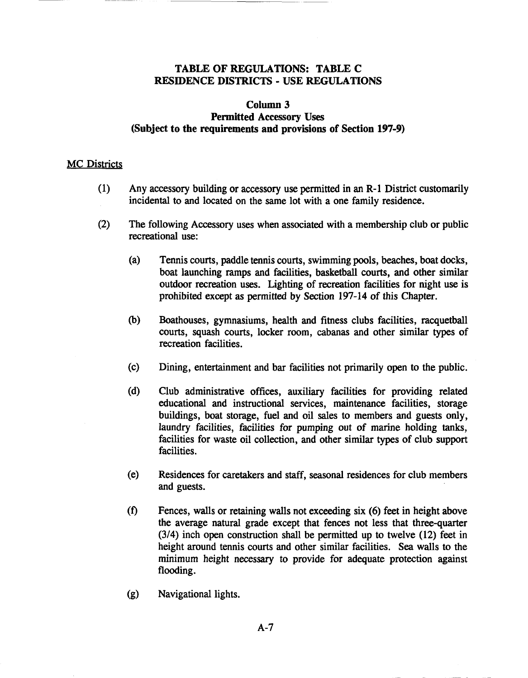# TABLE OF REGULATIONS: TABLE C RESIDENCE DISTRICTS - USE REGULATIONS

### Column 3 Permitted Accessory Uses (Subject to the requirements and provisions of Section 197-9)

#### **MC** Districts

- (1) Any accessory building or accessory use permitted in an R-l District customarily incidental to and located on the same lot with a one family residence.
- (2) The following Accessory uses when associated with a membership club or public recreational use:
	- (a) Tennis courts, paddle tennis courts, swimming pools, beaches, boat docks, boat launching ramps and facilities, basketball courts, and other similar outdoor recreation uses. Lighting of recreation facilities for night use is prohibited except as permitted by Section 197-14 of this Chapter.
	- (b) Boathouses, gymnasiums, health and fitness clubs facilities, racquetball courts, squash courts, locker room, cabanas and other similar types of recreation facilities.
	- (c) Dining, entertainment and bar facilities not primarily open to the public.
	- (d) Club administrative offices, auxiliary facilities for providing related educational and instructional services, maintenance facilities, storage buildings, boat storage, fuel and oil sales to members and guests only, laundry facilities, facilities for pumping out of marine holding tanks, facilities for waste oil collection, and other similar types of club support facilities.
	- (e) Residences for caretakers and staff, seasonal residences for club members and guests.
	- (t) Fences, walls or retaining walls not exceeding six (6) feet in height above the average natural grade except that fences not less that three-quarter (3/4) inch open construction shall be permitted up to twelve (12) feet in height around tennis courts and other similar facilities. Sea walls to the minimum height necessary to provide for adequate protection against flooding.
	- (g) Navigational lights.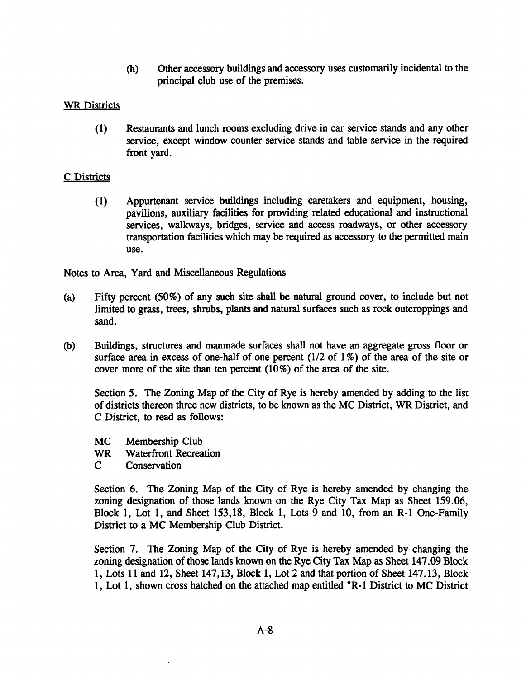(h) Other accessory buildings and accessory uses customarily incidental to the principal club use of the premises.

# WR Districts

(1) Restaurants and lunch rooms excluding drive in car service stands and any other service, except window counter service stands and table service in the required front yard.

# C Districts

(1) Appurtenant service buildings including caretakers and equipment, housing, pavilions, auxiliary facilities for providing related educational and instructional services, walkways, bridges, service and access roadways, or other accessory transportation facilities which may be required as accessory to the permitted main use.

Notes to Area, Yard and Miscellaneous Regulations

- (a) Fifty percent (50%) of any such site shall be natural ground cover, to include but not limited to grass, trees, shrubs, plants and natural surfaces such as rock outcroppings and sand.
- (b) Buildings, structures and manmade surfaces shall not have an aggregate gross floor or surface area in excess of one-half of one percent  $(1/2$  of  $1\%$ ) of the area of the site or cover more of the site than ten percent (10%) of the area of the site.

Section 5. The Zoning Map of the City of Rye is hereby amended by adding to the list of districts thereon three new districts, to be known as the MC District, WR District, and C District, to read as follows:

- MC Membership Club
- WR Waterfront Recreation
- C Conservation

Section 6. The Zoning Map of the City of Rye is hereby amended by changing the zoning designation of those lands known on the Rye City Tax Map as Sheet 159.06, Block 1, Lot 1, and Sheet 153,18, Block 1, Lots 9 and 10, from an R-l One-Family District to a MC Membership Club District.

Section 7. The Zoning Map of the City of Rye is hereby amended by changing the zoning designation of those lands known on the Rye City Tax Map as Sheet 147.09 Block 1, Lots 11 and 12, Sheet 147,13, Block 1, Lot 2 and that portion of Sheet 147.13, Block 1, Lot 1, shown cross hatched on the attached map entitled "R-1 District to MC District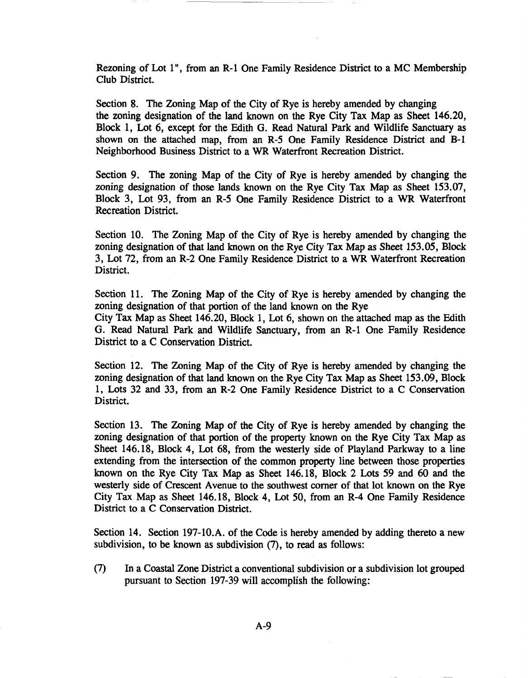Rezoning of Lot 1", from an R-l One Family Residence District to a MC Membership Club District.

--------~~~--

Section 8. The Zoning Map of the City of Rye is hereby amended by changing the zoning designation of the land known on the Rye City Tax Map as Sheet 146.20, Block 1, Lot 6, except for the Edith G. Read Natural Park and Wildlife Sanctuary as shown on the attached map, from an R-5 One Family Residence District and B-1 Neighborhood Business District to a WR Waterfront Recreation District.

Section 9. The zoning Map of the City of Rye is hereby amended by changing the zoning designation of those lands known on the Rye City Tax Map as Sheet 153.07, Block 3, Lot 93, from an R-5 One Family Residence District to a WR Waterfront Recreation District.

Section 10. The Zoning Map of the City of Rye is hereby amended by changing the zoning designation of that land known on the Rye City Tax Map as Sheet 153.05, Block 3, Lot 72, from an R-2 One Family Residence District to a WR Waterfront Recreation District.

Section 11. The Zoning Map of the City of Rye is hereby amended by changing the zoning designation of that portion of the land known on the Rye

City Tax Map as Sheet 146.20, Block 1, Lot 6, shown on the attached map as the Edith G. Read Natural Park and Wildlife Sanctuary, from an R-l One Family Residence District to a C Conservation District.

Section 12. The Zoning Map of the City of Rye is hereby amended by changing the zoning designation of that land known on the Rye City Tax Map as Sheet 153.09, Block 1, Lots 32 and 33, from an R-2 One Family Residence District to a C Conservation District.

Section 13. The Zoning Map of the City of Rye is hereby amended by changing the zoning designation of that portion of the property known on the Rye City Tax Map as Sheet 146.18, Block 4, Lot 68, from the westerly side of Playland Parkway to a line extending from the intersection of the common property line between those properties known on the Rye City Tax Map as Sheet 146.18, Block 2 Lots 59 and 60 and the westerly side of Crescent Avenue to the southwest corner of that lot known on the Rye City Tax Map as Sheet 146.18, Block 4, Lot 50, from an R-4 One Family Residence District to a C Conservation District.

Section 14. Section 197-1O.A. of the Code is hereby amended by adding thereto a new subdivision, to be known as subdivision (7), to read as follows:

(7) In a Coastal Zone District a conventional subdivision or a subdivision lot grouped pursuant to Section 197-39 will accomplish the following: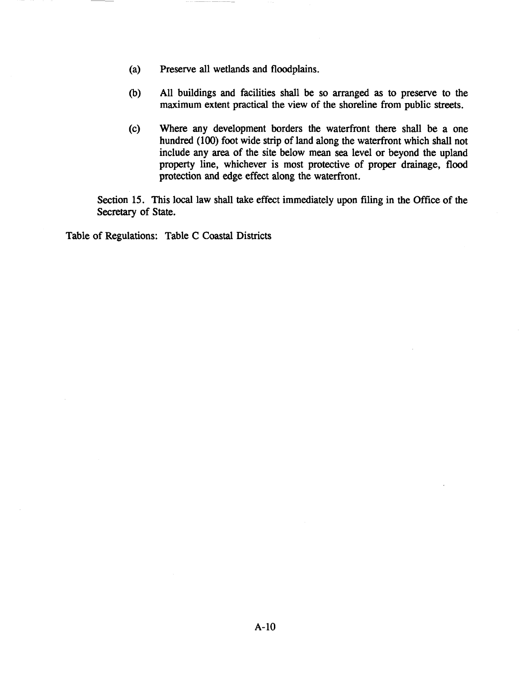- (a) Preserve all wetlands and floodplains.
- (b) All buildings and facilities shall be so arranged as to preserve to the maximum extent practical the view of the shoreline from public streets.
- (c) Where any development borders the waterfront there shall be a one hundred (100) foot wide strip of land along the waterfront which shall not include any area of the site below mean sea level or beyond the upland property line, whichever is most protective of proper drainage, flood protection and edge effect along the waterfront.

Section 15. This local law shall take effect immediately upon filing in the Office of the Secretary of State.

Table of Regulations: Table C Coastal Districts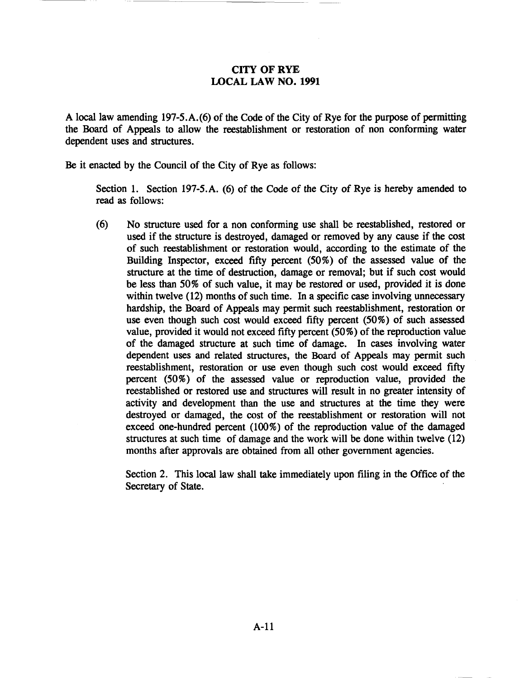# CITY OF RYE LOCAL LAW NO. 1991

A local law amending 197-5.A.(6) of the Code of the City of Rye for the purpose of permitting the Board of Appeals to allow the reestablishment or restoration of non conforming water dependent uses and structures.

Be it enacted by the Council of the City of Rye as follows:

Section 1. Section 197-5.A. (6) of the Code of the City of Rye is hereby amended to read as follows:

(6) No structure used for a non conforming use shall be reestablished, restored or used if the structure is destroyed, damaged or removed by any cause if the cost of such reestablishment or restoration would, according to the estimate of the Building Inspector, exceed fifty percent (50%) of the assessed value of the structure at the time of destruction, damage or removal; but if such cost would be less than 50% of such value, it may be restored or used, provided it is done within twelve  $(12)$  months of such time. In a specific case involving unnecessary hardship, the Board of Appeals may permit such reestablishment, restoration or use even though such cost would exceed fifty percent (50%) of such assessed value, provided it would not exceed fifty percent (50%) of the reproduction value of the damaged structure at such time of damage. In cases involving water dependent uses and related structures, the Board of Appeals may permit such reestablishment, restoration or use even though such cost would exceed fifty percent (50%) of the assessed value or reproduction value, provided the reestablished or restored use and structures will result in no greater intensity of activity and development than the use and structures at the time they were destroyed or damaged, the cost of the reestablishment or restoration will not exceed one-hundred percent (100%) of the reproduction value of the damaged structures at such time of damage and the work will be done within twelve (12) months after approvals are obtained from all other government agencies.

Section 2. This local law shall take immediately upon filing in the Office of the Secretary of State.